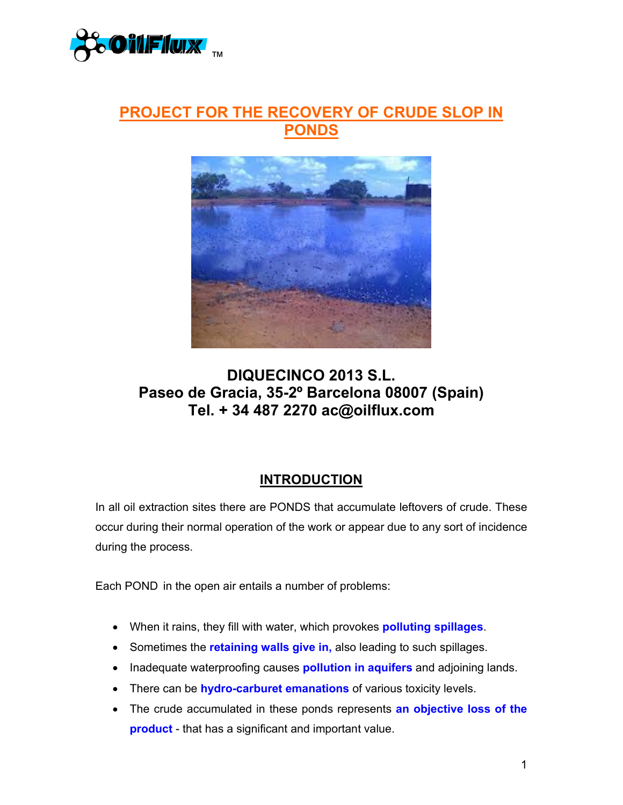

## **PROJECT FOR THE RECOVERY OF CRUDE SLOP IN PONDS**



## **DIQUECINCO 2013 S.L. Paseo de Gracia, 35-2º Barcelona 08007 (Spain) Tel. + 34 487 2270 ac@oilflux.com**

## **INTRODUCTION**

In all oil extraction sites there are PONDS that accumulate leftovers of crude. These occur during their normal operation of the work or appear due to any sort of incidence during the process.

Each POND in the open air entails a number of problems:

- When it rains, they fill with water, which provokes **polluting spillages**.
- Sometimes the **retaining walls give in,** also leading to such spillages.
- Inadequate waterproofing causes **pollution in aquifers** and adjoining lands.
- There can be **hydro-carburet emanations** of various toxicity levels.
- The crude accumulated in these ponds represents **an objective loss of the product** - that has a significant and important value.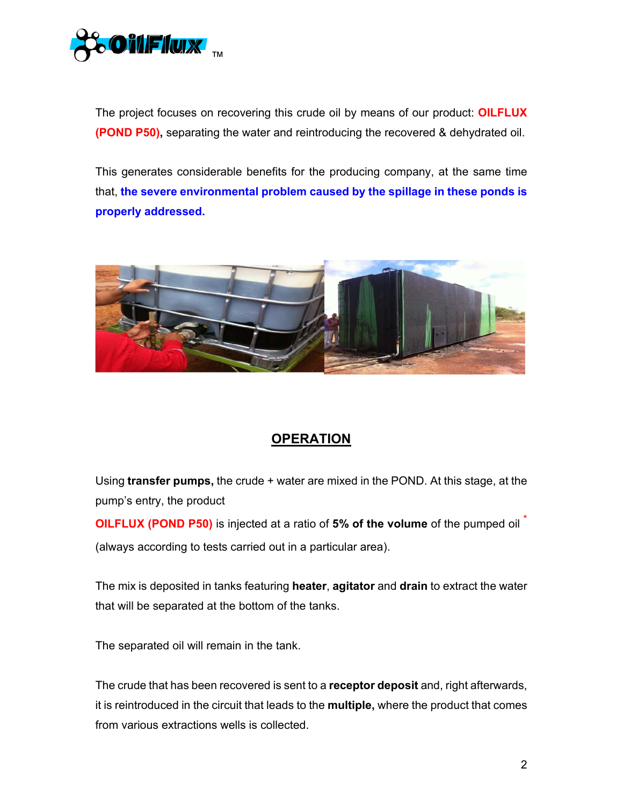

The project focuses on recovering this crude oil by means of our product: **OILFLUX (POND P50),** separating the water and reintroducing the recovered & dehydrated oil.

This generates considerable benefits for the producing company, at the same time that, **the severe environmental problem caused by the spillage in these ponds is properly addressed.** 



## **OPERATION**

Using **transfer pumps,** the crude + water are mixed in the POND. At this stage, at the pump's entry, the product

**OILFLUX (POND P50)** is injected at a ratio of **5% of the volume** of the pumped oil \* (always according to tests carried out in a particular area).

The mix is deposited in tanks featuring **heater**, **agitator** and **drain** to extract the water that will be separated at the bottom of the tanks.

The separated oil will remain in the tank.

The crude that has been recovered is sent to a **receptor deposit** and, right afterwards, it is reintroduced in the circuit that leads to the **multiple,** where the product that comes from various extractions wells is collected.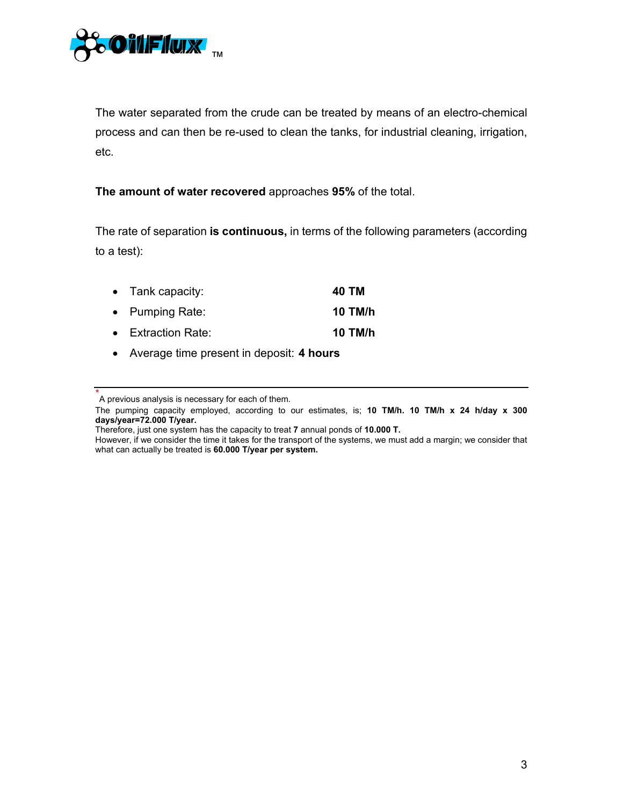

The water separated from the crude can be treated by means of an electro-chemical process and can then be re-used to clean the tanks, for industrial cleaning, irrigation, etc.

**The amount of water recovered** approaches **95%** of the total.

The rate of separation **is continuous,** in terms of the following parameters (according to a test):

| $\bullet$ Tank capacity:   | 40 TM   |
|----------------------------|---------|
| • Pumping Rate:            | 10 TM/h |
| $\bullet$ Extraction Rate: | 10 TM/h |

Average time present in deposit: **4 hours**

<sup>\*</sup> A previous analysis is necessary for each of them.

The pumping capacity employed, according to our estimates, is; **10 TM/h. 10 TM/h x 24 h/day x 300 days/year=72.000 T/year.**

Therefore, just one system has the capacity to treat **7** annual ponds of **10.000 T.**

However, if we consider the time it takes for the transport of the systems, we must add a margin; we consider that what can actually be treated is **60.000 T/year per system.**